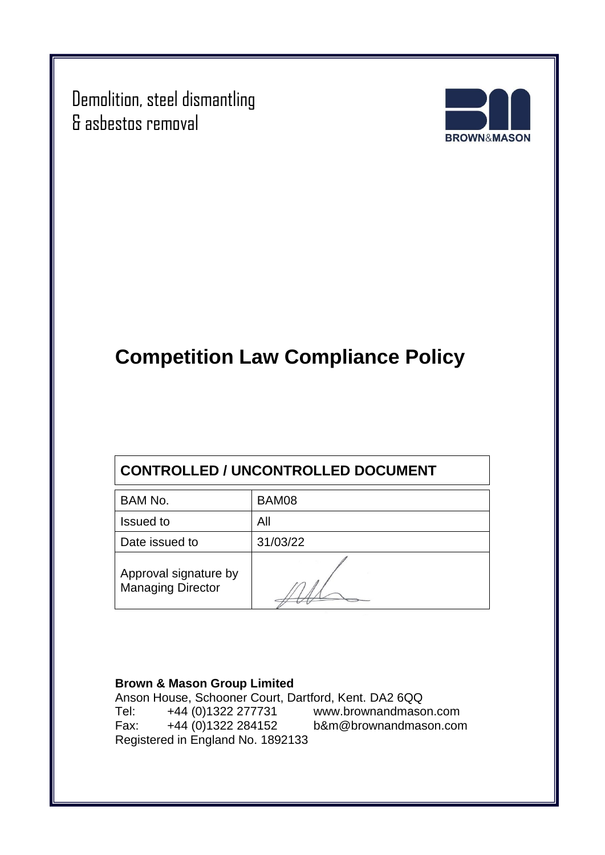Demolition, steel dismantling & asbestos removal



# **Competition Law Compliance Policy**

### **CONTROLLED / UNCONTROLLED DOCUMENT**

| BAM No.                                           | BAM08    |
|---------------------------------------------------|----------|
| <b>Issued to</b>                                  | All      |
| Date issued to                                    | 31/03/22 |
| Approval signature by<br><b>Managing Director</b> |          |

#### **Brown & Mason Group Limited**

Anson House, Schooner Court, Dartford, Kent. DA2 6QQ<br>Tel: +44 (0)1322 277731 www.brownandmaso Tel: +44 (0)1322 277731 [www.brownandmason.com](http://www.brownandmason.com/) Fax: +44 (0)1322 284152 [b&m@brownandmason.com](mailto:b&m@brownandmason.com) Registered in England No. 1892133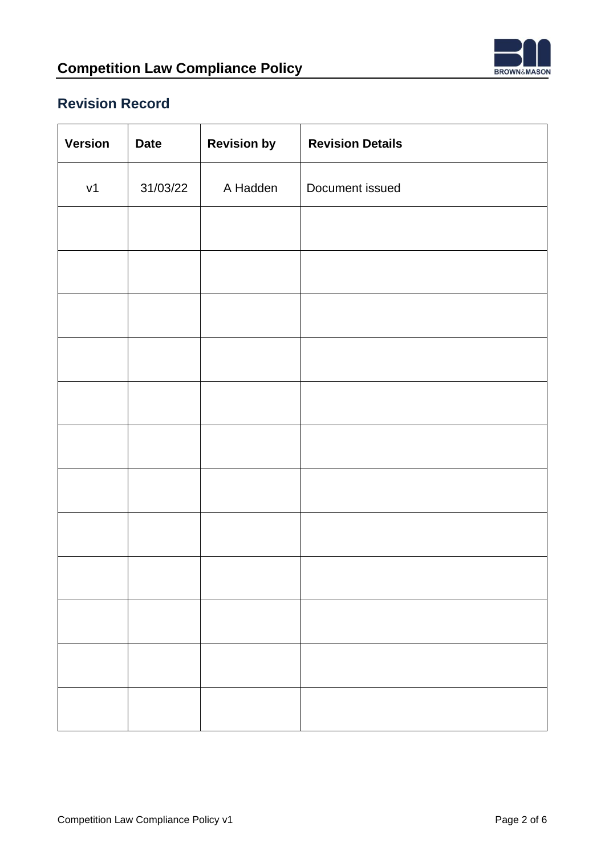

### **Revision Record**

| <b>Version</b> | <b>Date</b> | <b>Revision by</b> | <b>Revision Details</b> |
|----------------|-------------|--------------------|-------------------------|
| v1             | 31/03/22    | A Hadden           | Document issued         |
|                |             |                    |                         |
|                |             |                    |                         |
|                |             |                    |                         |
|                |             |                    |                         |
|                |             |                    |                         |
|                |             |                    |                         |
|                |             |                    |                         |
|                |             |                    |                         |
|                |             |                    |                         |
|                |             |                    |                         |
|                |             |                    |                         |
|                |             |                    |                         |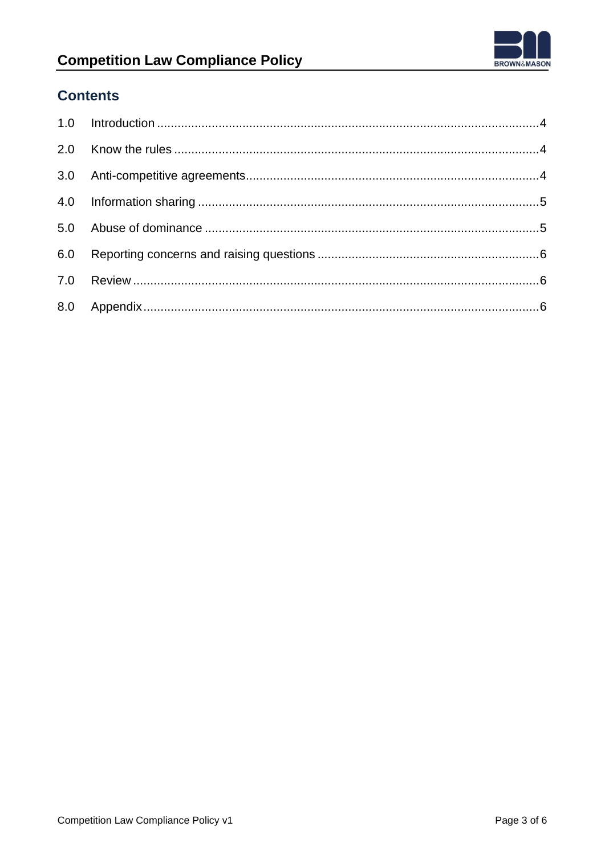

### **Competition Law Compliance Policy**

### **Contents**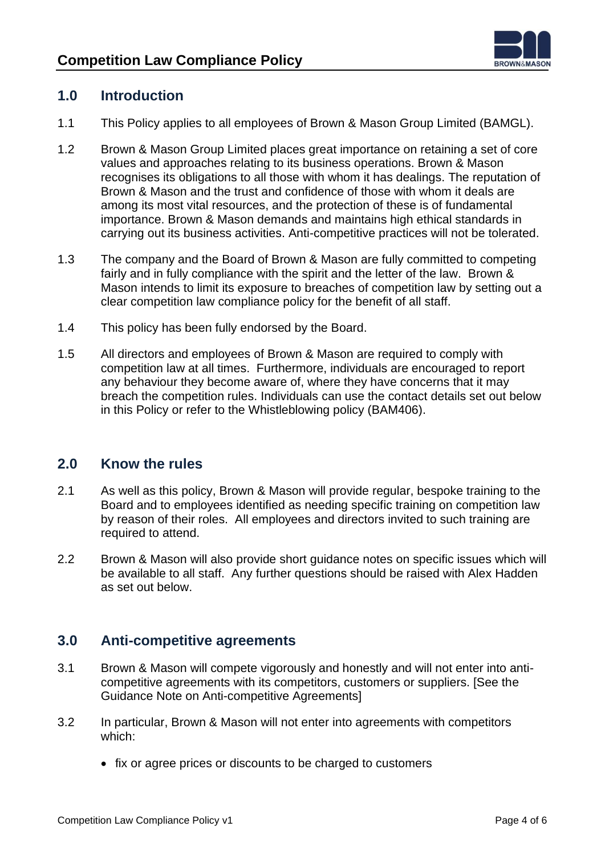

### <span id="page-3-0"></span>**1.0 Introduction**

- 1.1 This Policy applies to all employees of Brown & Mason Group Limited (BAMGL).
- 1.2 Brown & Mason Group Limited places great importance on retaining a set of core values and approaches relating to its business operations. Brown & Mason recognises its obligations to all those with whom it has dealings. The reputation of Brown & Mason and the trust and confidence of those with whom it deals are among its most vital resources, and the protection of these is of fundamental importance. Brown & Mason demands and maintains high ethical standards in carrying out its business activities. Anti-competitive practices will not be tolerated.
- 1.3 The company and the Board of Brown & Mason are fully committed to competing fairly and in fully compliance with the spirit and the letter of the law. Brown & Mason intends to limit its exposure to breaches of competition law by setting out a clear competition law compliance policy for the benefit of all staff.
- 1.4 This policy has been fully endorsed by the Board.
- 1.5 All directors and employees of Brown & Mason are required to comply with competition law at all times. Furthermore, individuals are encouraged to report any behaviour they become aware of, where they have concerns that it may breach the competition rules. Individuals can use the contact details set out below in this Policy or refer to the Whistleblowing policy (BAM406).

#### <span id="page-3-1"></span>**2.0 Know the rules**

- 2.1 As well as this policy, Brown & Mason will provide regular, bespoke training to the Board and to employees identified as needing specific training on competition law by reason of their roles. All employees and directors invited to such training are required to attend.
- 2.2 Brown & Mason will also provide short guidance notes on specific issues which will be available to all staff. Any further questions should be raised with Alex Hadden as set out below.

#### <span id="page-3-2"></span>**3.0 Anti-competitive agreements**

- 3.1 Brown & Mason will compete vigorously and honestly and will not enter into anticompetitive agreements with its competitors, customers or suppliers. [See the Guidance Note on Anti-competitive Agreements]
- 3.2 In particular, Brown & Mason will not enter into agreements with competitors which:
	- fix or agree prices or discounts to be charged to customers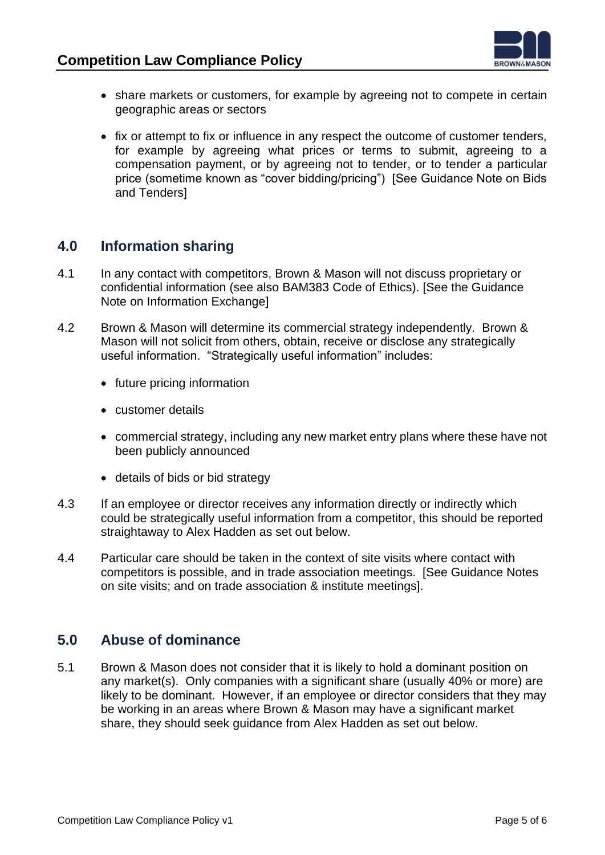

- share markets or customers, for example by agreeing not to compete in certain geographic areas or sectors
- fix or attempt to fix or influence in any respect the outcome of customer tenders, for example by agreeing what prices or terms to submit, agreeing to a compensation payment, or by agreeing not to tender, or to tender a particular price (sometime known as "cover bidding/pricing") [See Guidance Note on Bids and Tenders]

### <span id="page-4-0"></span>**4.0 Information sharing**

- 4.1 In any contact with competitors, Brown & Mason will not discuss proprietary or confidential information (see also BAM383 Code of Ethics). [See the Guidance Note on Information Exchange]
- 4.2 Brown & Mason will determine its commercial strategy independently. Brown & Mason will not solicit from others, obtain, receive or disclose any strategically useful information. "Strategically useful information" includes:
	- future pricing information
	- customer details
	- commercial strategy, including any new market entry plans where these have not been publicly announced
	- details of bids or bid strategy
- 4.3 If an employee or director receives any information directly or indirectly which could be strategically useful information from a competitor, this should be reported straightaway to Alex Hadden as set out below.
- 4.4 Particular care should be taken in the context of site visits where contact with competitors is possible, and in trade association meetings. [See Guidance Notes on site visits; and on trade association & institute meetings].

#### <span id="page-4-1"></span>**5.0 Abuse of dominance**

5.1 Brown & Mason does not consider that it is likely to hold a dominant position on any market(s). Only companies with a significant share (usually 40% or more) are likely to be dominant. However, if an employee or director considers that they may be working in an areas where Brown & Mason may have a significant market share, they should seek guidance from Alex Hadden as set out below.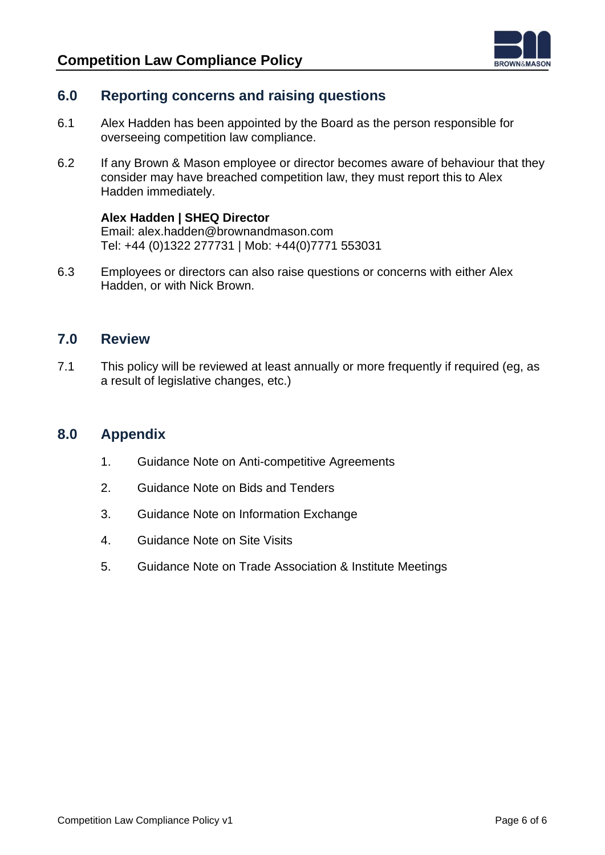

### <span id="page-5-0"></span>**6.0 Reporting concerns and raising questions**

- 6.1 Alex Hadden has been appointed by the Board as the person responsible for overseeing competition law compliance.
- 6.2 If any Brown & Mason employee or director becomes aware of behaviour that they consider may have breached competition law, they must report this to Alex Hadden immediately.

#### **Alex Hadden | SHEQ Director**

Email: [alex.hadden@brownandmason.com](mailto:alex.hadden@brownandmason.co.uk) Tel: +44 (0)1322 277731 | Mob: +44(0)7771 553031

6.3 Employees or directors can also raise questions or concerns with either Alex Hadden, or with Nick Brown.

#### <span id="page-5-1"></span>**7.0 Review**

7.1 This policy will be reviewed at least annually or more frequently if required (eg, as a result of legislative changes, etc.)

#### <span id="page-5-2"></span>**8.0 Appendix**

- 1. Guidance Note on Anti-competitive Agreements
- 2. Guidance Note on Bids and Tenders
- 3. Guidance Note on Information Exchange
- 4. Guidance Note on Site Visits
- 5. Guidance Note on Trade Association & Institute Meetings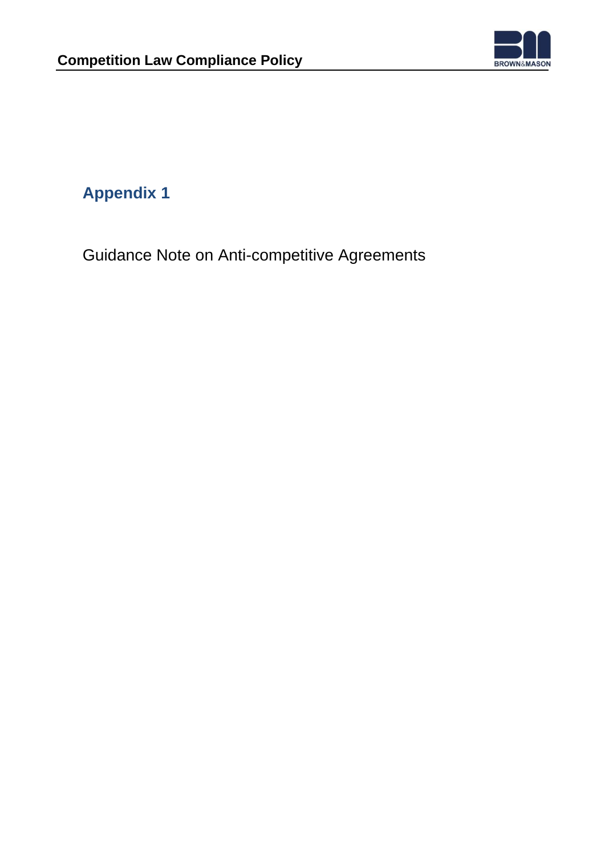

Guidance Note on Anti-competitive Agreements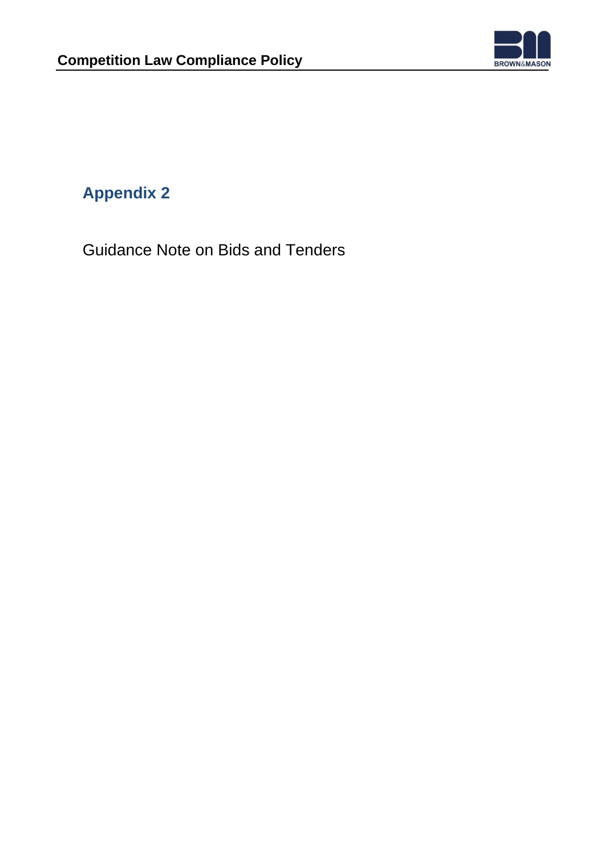

Guidance Note on Bids and Tenders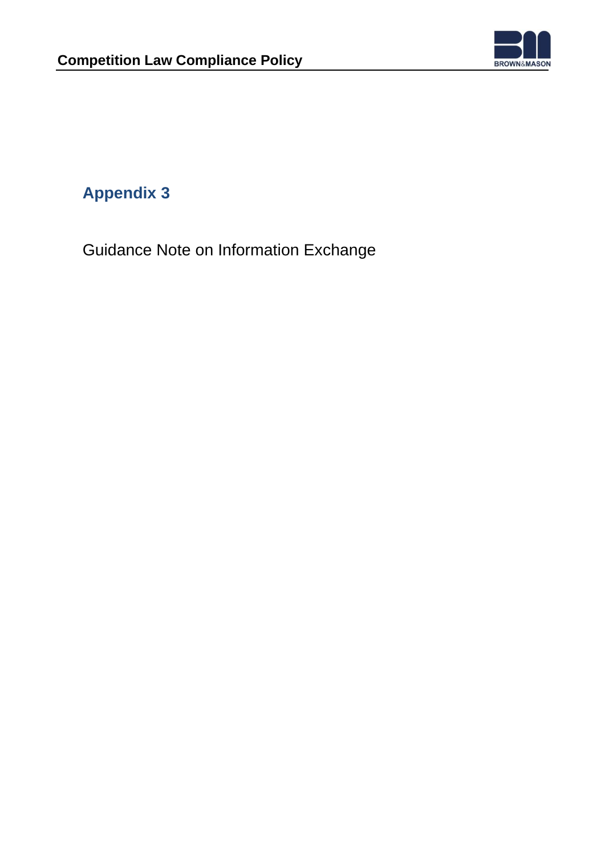

Guidance Note on Information Exchange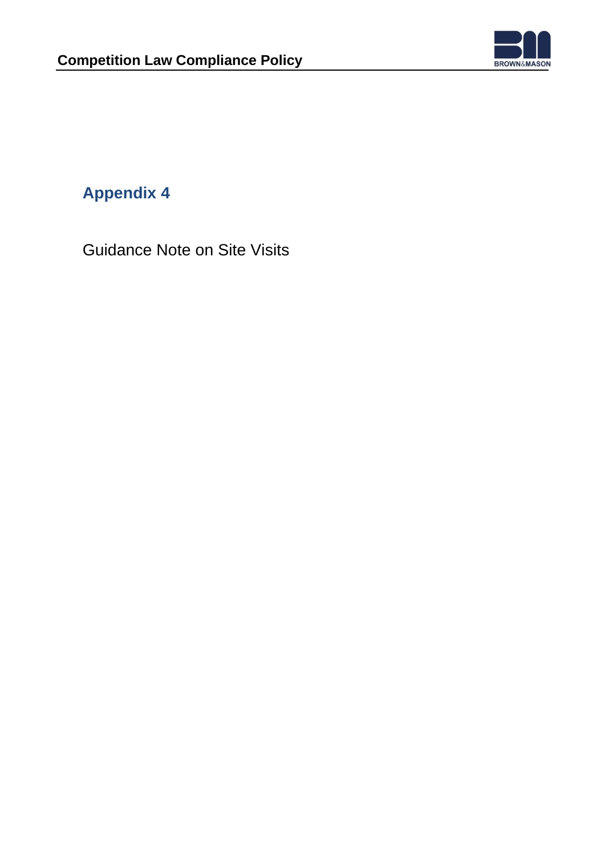

Guidance Note on Site Visits